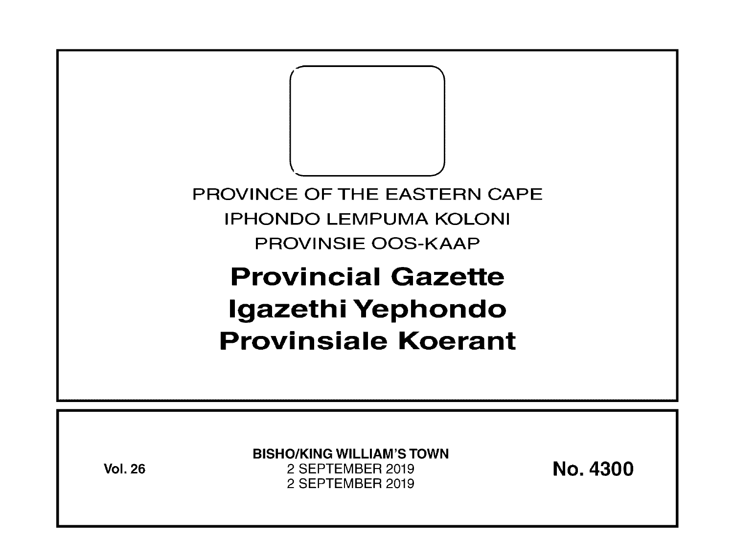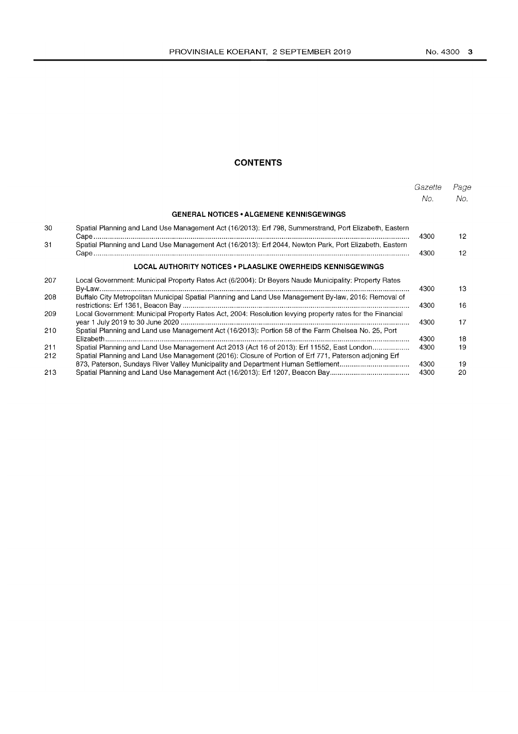### **CONTENTS**

|                                                             |                                                                                                           | Gazette<br>No. | Page<br>No. |  |  |
|-------------------------------------------------------------|-----------------------------------------------------------------------------------------------------------|----------------|-------------|--|--|
| <b>GENERAL NOTICES • ALGEMENE KENNISGEWINGS</b>             |                                                                                                           |                |             |  |  |
| 30                                                          | Spatial Planning and Land Use Management Act (16/2013): Erf 798, Summerstrand, Port Elizabeth, Eastern    | 4300           | 12          |  |  |
| 31                                                          | Spatial Planning and Land Use Management Act (16/2013): Erf 2044, Newton Park, Port Elizabeth, Eastern    | 4300           | 12          |  |  |
| LOCAL AUTHORITY NOTICES • PLAASLIKE OWERHEIDS KENNISGEWINGS |                                                                                                           |                |             |  |  |
| 207                                                         | Local Government: Municipal Property Rates Act (6/2004): Dr Beyers Naude Municipality: Property Rates     |                |             |  |  |
| 208                                                         | Buffalo City Metropolitan Municipal Spatial Planning and Land Use Management By-law, 2016: Removal of     | 4300           | 13          |  |  |
|                                                             |                                                                                                           | 4300           | 16          |  |  |
| 209                                                         | Local Government: Municipal Property Rates Act, 2004: Resolution levying property rates for the Financial |                |             |  |  |
| 210                                                         | Spatial Planning and Land use Management Act (16/2013): Portion 58 of the Farm Chelsea No. 25, Port       | 4300           | 17          |  |  |
|                                                             |                                                                                                           | 4300           | 18          |  |  |
| 211                                                         | Spatial Planning and Land Use Management Act 2013 (Act 16 of 2013): Erf 11552, East London                | 4300           | 19          |  |  |
| 212                                                         | Spatial Planning and Land Use Management (2016): Closure of Portion of Erf 771, Paterson adjoning Erf     |                |             |  |  |
| 213                                                         | 873, Paterson, Sundays River Valley Municipality and Department Human Settlement                          | 4300<br>4300   | 19<br>20    |  |  |
|                                                             |                                                                                                           |                |             |  |  |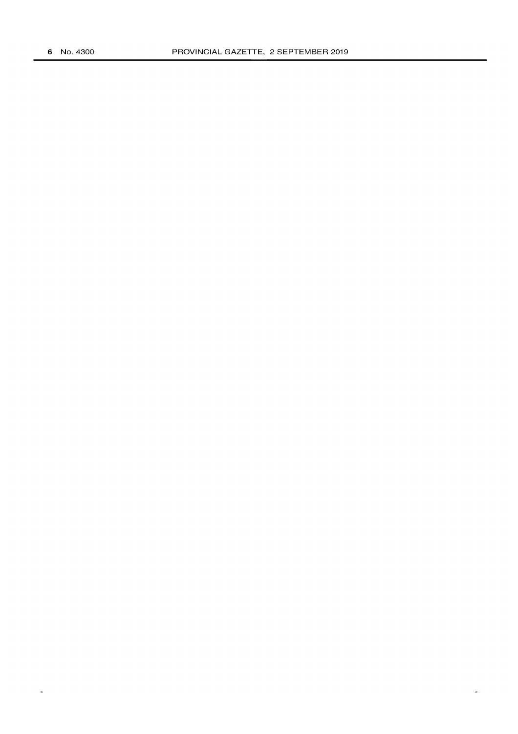$\bar{\mathcal{A}}$ 

 $\tilde{\phantom{a}}$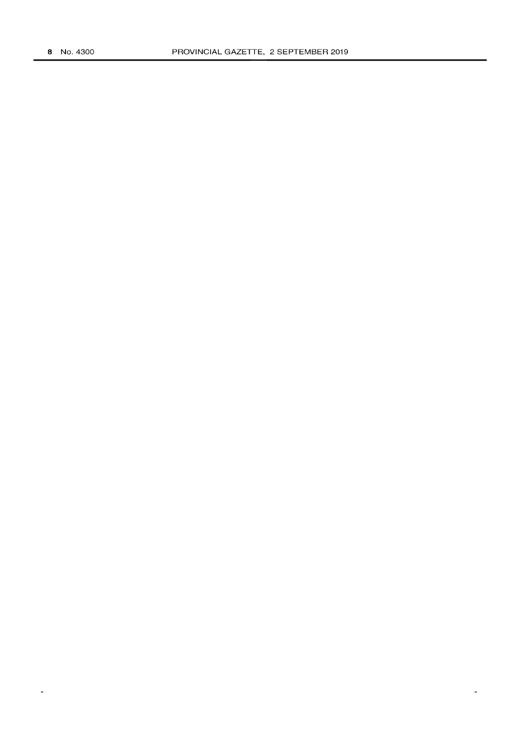$\Box$ 

 $\overline{\phantom{a}}$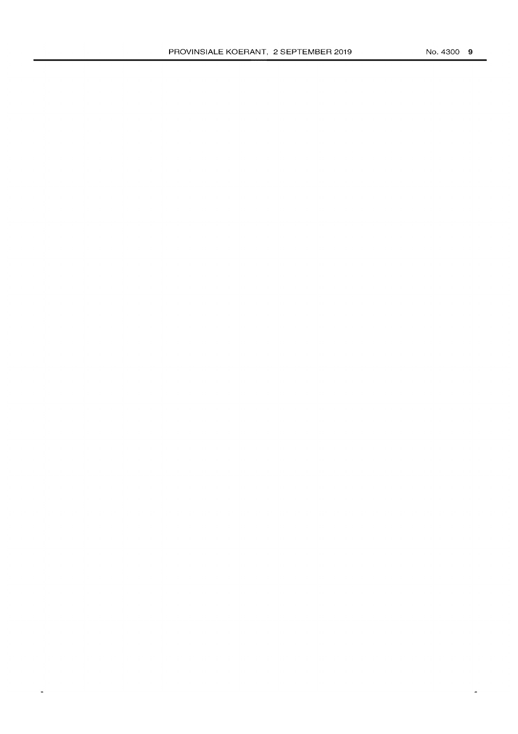$\bar{\mathbf{z}}$ 

 $\tilde{\phantom{a}}$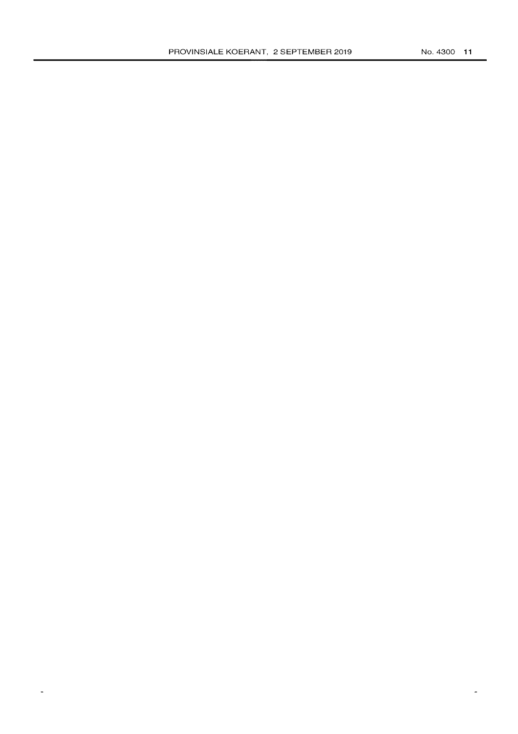$\bar{\mathbf{z}}$ 

 $\tilde{\phantom{a}}$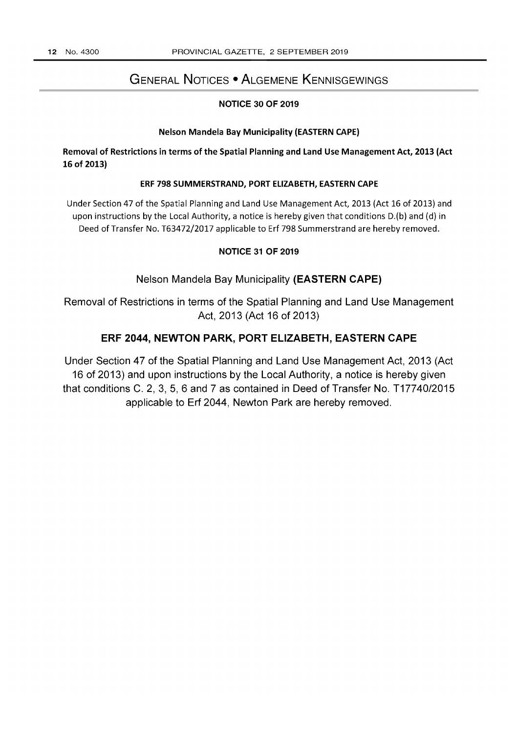# GENERAL NOTICES • ALGEMENE KENNISGEWINGS

### NOTICE 30 OF 2019

#### Nelson Mandela Bay Municipality (EASTERN CAPE)

### Removal of Restrictions in terms of the Spatial Planning and Land Use Management Act, 2013 (Act 16 of 2013)

### ERF 798 SUMMERSTRAND, PORT ELIZABETH, EASTERN CAPE

Under Section 47 of the Spatial Planning and Land Use Management Act, 2013 (Act 16 of 2013) and upon instructions by the Local Authority, a notice is hereby given that conditions D.(b) and (d) in Deed of Transfer No. T63472/2017 applicable to Erf 798 Summerstrand are hereby removed.

### NOTICE 31 OF 2019

Nelson Mandela Bay Municipality (EASTERN CAPE)

Removal of Restrictions in terms of the Spatial Planning and Land Use Management Act, 2013 (Act 16 of 2013)

# ERF 2044, NEWTON PARK, PORT ELIZABETH, EASTERN CAPE

Under Section 47 of the Spatial Planning and Land Use Management Act, 2013 (Act 16 of 2013) and upon instructions by the Local Authority, a notice is hereby given that conditions C. 2, 3, 5, 6 and 7 as contained in Deed of Transfer No. T17740/2015 applicable to Erf 2044, Newton Park are hereby removed.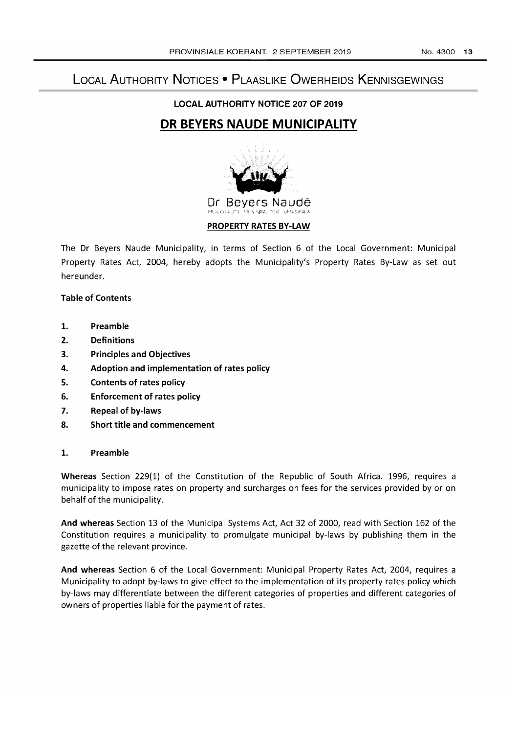# LOCAL AUTHORITY NOTICES • PLAASLIKE OWERHEIDS KENNISGEWINGS

### LOCAL AUTHORITY NOTICE 207 OF 2019

# **DR BEYERS NAUDE MUNICIPALITY**



### PROPERTY RATES BY-LAW

The Dr Beyers Naude Municipality, in terms of Section 6 of the Local Government: Municipal Property Rates Act, 2004, hereby adopts the Municipality's Property Rates By-Law as set out hereunder.

Table of Contents

- 1. Preamble
- 2. Definitions
- 3. Principles and Objectives
- 4. Adoption and implementation of rates policy
- 5. Contents of rates policy
- 6. Enforcement of rates policy
- 7. Repeal of by-laws
- 8. Short title and commencement

### 1. Preamble

Whereas Section 229(1) of the Constitution of the Republic of South Africa. 1996, requires a municipality to impose rates on property and surcharges on fees for the services provided by or on behalf of the municipality.

And whereas Section 13 of the Municipal Systems Act, Act 32 of 2000, read with Section 162 of the Constitution requires a municipality to promulgate municipal by-laws by publishing them in the gazette of the relevant province.

And whereas Section 6 of the Local Government: Municipal Property Rates Act, 2004, requires a Municipality to adopt by-laws to give effect to the implementation of its property rates policy which by-laws may differentiate between the different categories of properties and different categories of owners of properties liable for the payment of rates.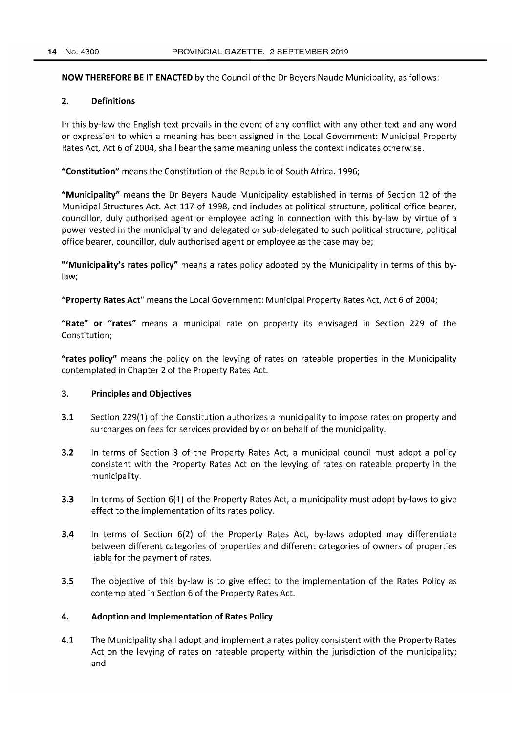NOW THEREFORE BE IT ENACTED by the Council of the Dr Beyers Naude Municipality, as follows:

### 2. Definitions

In this by-law the English text prevails in the event of any conflict with any other text and any word or expression to which a meaning has been assigned in the Local Government: Municipal Property Rates Act, Act 6 of 2004, shall bear the same meaning unless the context indicates otherwise.

"Constitution" means the Constitution of the Republic of South Africa. 1996;

"Municipality" means the Dr Beyers Naude Municipality established in terms of Section 12 of the Municipal Structures Act. Act 117 of 1998, and includes at political structure, political office bearer, councillor, duly authorised agent or employee acting in connection with this by-law by virtue of a power vested in the municipality and delegated or sub-delegated to such political structure, political office bearer, councillor, duly authorised agent or employee as the case may be;

"'Municipality's rates policy" means a rates policy adopted by the Municipality in terms of this bylaw;

"Property Rates Act" means the Local Government: Municipal Property Rates Act, Act 6 of 2004;

"Rate" or "rates" means a municipal rate on property its envisaged in Section 229 of the Constitution;

"rates policy" means the policy on the levying of rates on rateable properties in the Municipality contemplated in Chapter 2 of the Property Rates Act.

### 3. Principles and Objectives

- 3.1 Section 229(1) of the Constitution authorizes a municipality to impose rates on property and surcharges on fees for services provided by or on behalf of the municipality.
- 3.2 In terms of Section 3 of the Property Rates Act, a municipal council must adopt a policy consistent with the Property Rates Act on the levying of rates on rateable property in the municipality.
- 3.3 In terms of Section 6(1) of the Property Rates Act, a municipality must adopt by-laws to give effect to the implementation of its rates policy.
- 3.4 In terms of Section 6(2) of the Property Rates Act, by-laws adopted may differentiate between different categories of properties and different categories of owners of properties liable for the payment of rates.
- **3.5** The objective of this by-law is to give effect to the implementation of the Rates Policy as contemplated in Section 6 of the Property Rates Act.

### 4. Adoption and Implementation of Rates Policy

4.1 The Municipality shall adopt and implement a rates policy consistent with the Property Rates Act on the levying of rates on rateable property within the jurisdiction of the municipality; and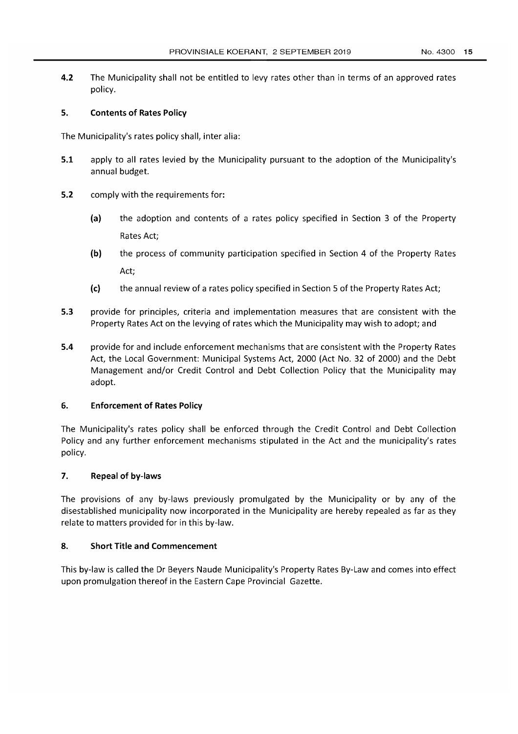4.2 The Municipality shall not be entitled to levy rates other than in terms of an approved rates policy.

### 5. Contents of Rates Policy

The Municipality's rates policy shall, inter alia:

- 5.1 apply to all rates levied by the Municipality pursuant to the adoption of the Municipality's annual budget.
- 5.2 comply with the requirements for:
	- (a) the adoption and contents of a rates policy specified in Section 3 of the Property Rates Act;
	- (b) the process of community participation specified in Section 4 of the Property Rates Act;
	- (c) the annual review of a rates policy specified in Section 5 of the Property Rates Act;
- 5.3 provide for principles, criteria and implementation measures that are consistent with the Property Rates Act on the levying of rates which the Municipality may wish to adopt; and
- 5.4 provide for and include enforcement mechanisms that are consistent with the Property Rates Act, the Local Government: Municipal Systems Act, 2000 (Act No. 32 of 2000) and the Debt Management and/or Credit Control and Debt Collection Policy that the Municipality may adopt.

### 6. Enforcement of Rates Policy

The Municipality's rates policy shall be enforced through the Credit Control and Debt Collection Policy and any further enforcement mechanisms stipulated in the Act and the municipality's rates policy.

### 7. Repeal of by-laws

The provisions of any by-laws previously promulgated by the Municipality or by any of the disestablished municipality now incorporated in the Municipality are hereby repealed as far as they relate to matters provided for in this by-law.

### 8. Short Title and Commencement

This by-law is called the Dr Beyers Naude Municipality's Property Rates By-Law and comes into effect upon promulgation thereof in the Eastern Cape Provincial Gazette.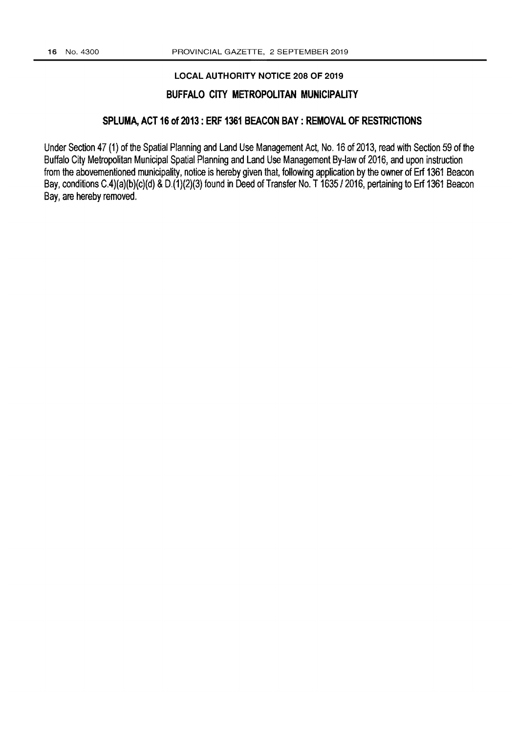### **LOCAL AUTHORITY NOTICE** 208 **OF** 2019

## **BUFFALO CITY METROPOLITAN MUNICIPALITY**

## **SPLUMA, ACT 16** of 2013 **: ERF 1361 BEACON BAY: REMOVAL OF RESTRICTIONS**

Under Section 47 (1) of the Spatial Planning and Land Use Management Act, No. 16 of 2013, read with Section 59 of the Buffalo City Metropolitan Municipal Spatial Planning and Land Use Management By-law of 2016, and upon instruction from the abovementioned municipality, notice is hereby given that, following application by the owner of Erf 1361 Beacon Bay, conditions C.4)(a)(b)(c)(d) & D.(1)(2)(3) found in Deed of Transfer No. T 1635 / 2016, pertaining to Erf 1361 Beacon Bay, are hereby removed.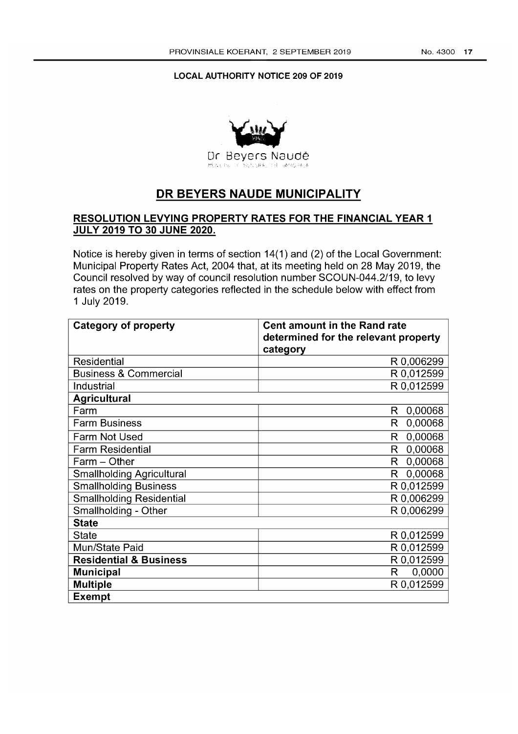### LOCAL AUTHORITY NOTICE 209 OF 2019



# DR BEYERS NAUDE MUNICIPALITY

# RESOLUTION LEVYING PROPERTY RATES FOR THE FINANCIAL YEAR 1 JULY 2019 TO 30 JUNE 2020.

Notice is hereby given in terms of section 14(1) and (2) of the Local Government: Municipal Property Rates Act, 2004 that, at its meeting held on 28 May 2019, the Council resolved by way of council resolution number SCOUN-044.2/19, to levy rates on the property categories reflected in the schedule below with effect from 1 July 2019.

| <b>Category of property</b>       | <b>Cent amount in the Rand rate</b>  |  |  |  |
|-----------------------------------|--------------------------------------|--|--|--|
|                                   | determined for the relevant property |  |  |  |
|                                   | category                             |  |  |  |
| <b>Residential</b>                | R 0,006299                           |  |  |  |
| <b>Business &amp; Commercial</b>  | R 0,012599                           |  |  |  |
| Industrial                        | R 0,012599                           |  |  |  |
| <b>Agricultural</b>               |                                      |  |  |  |
| Farm                              | 0,00068<br>R                         |  |  |  |
| <b>Farm Business</b>              | 0,00068<br>R                         |  |  |  |
| Farm Not Used                     | 0,00068<br>R                         |  |  |  |
| <b>Farm Residential</b>           | 0,00068<br>R                         |  |  |  |
| $Farm - Other$                    | 0,00068<br>R                         |  |  |  |
| <b>Smallholding Agricultural</b>  | 0,00068<br>R                         |  |  |  |
| <b>Smallholding Business</b>      | R 0,012599                           |  |  |  |
| <b>Smallholding Residential</b>   | R 0,006299                           |  |  |  |
| Smallholding - Other              | R 0,006299                           |  |  |  |
| <b>State</b>                      |                                      |  |  |  |
| <b>State</b>                      | R 0,012599                           |  |  |  |
| Mun/State Paid                    | R 0,012599                           |  |  |  |
| <b>Residential &amp; Business</b> | R 0,012599                           |  |  |  |
| <b>Municipal</b>                  | R.<br>0,0000                         |  |  |  |
| <b>Multiple</b>                   | R 0,012599                           |  |  |  |
| <b>Exempt</b>                     |                                      |  |  |  |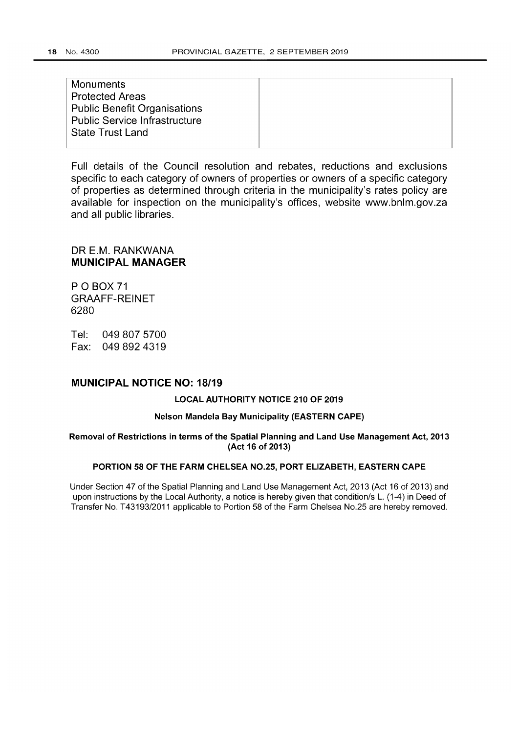| Monuments                            |  |
|--------------------------------------|--|
| <b>Protected Areas</b>               |  |
| <b>Public Benefit Organisations</b>  |  |
| <b>Public Service Infrastructure</b> |  |
| <b>State Trust Land</b>              |  |
|                                      |  |

Full details of the Council resolution and rebates, reductions and exclusions specific to each category of owners of properties or owners of a specific category of properties as determined through criteria in the municipality's rates policy are available for inspection on the municipality's offices, website www.bnlm.gov.za and all public libraries.

### DR E.M. RANKWANA MUNICIPAL MANAGER

POBOX 71 GRAAFF-REINET 6280

Tel: 049807 5700 Fax: 0498924319

#### MUNICIPAL NOTICE NO: 18/19

### LOCAL AUTHORITY NOTICE 210 OF 2019

#### Nelson Mandela Bay Municipality (EASTERN CAPE)

#### Removal of Restrictions in terms of the Spatial Planning and Land Use Management Act, 2013 (Act 16 of 2013)

#### PORTION 58 OF THE FARM CHELSEA NO.25, PORT ELIZABETH, EASTERN CAPE

Under Section 47 of the Spatial Planning and Land Use Management Act, 2013 (Act 16 of 2013) and upon instructions by the Local Authority, a notice is hereby given that condition/s L. (1-4) in Deed of Transfer No. T43193/2011 applicable to Portion 58 of the Farm Chelsea No.25 are hereby removed.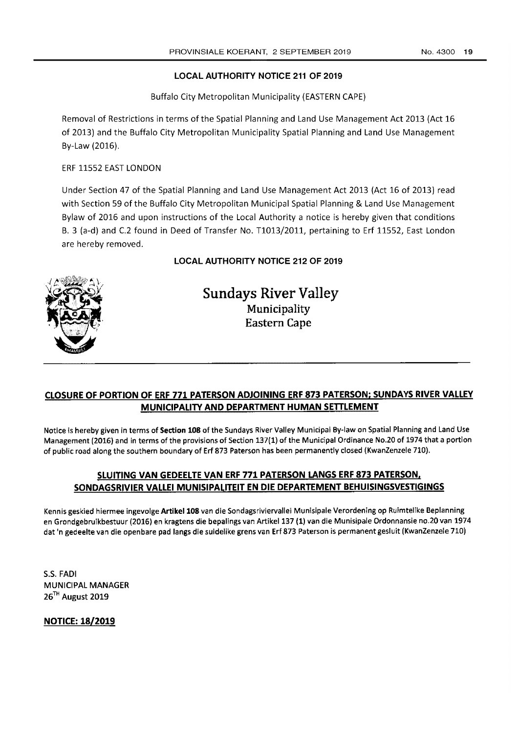### LOCAL AUTHORITY NOTICE 211 OF 2019

Buffalo City Metropolitan Municipality (EASTERN CAPE)

Removal of Restrictions in terms of the Spatial Planning and Land Use Management Act 2013 (Act 16 of 2013) and the Buffalo City Metropolitan Municipality Spatial Planning and Land Use Management By-Law (2016).

### ERF 11552 EAST LONDON

Under Section 47 of the Spatial Planning and Land Use Management Act 2013 (Act 16 of 2013) read with Section 59 of the Buffalo City Metropolitan Municipal Spatial Planning & Land Use Management Bylaw of 2016 and upon instructions of the Local Authority a notice is hereby given that conditions B.3 (a-d) and C.2 found in Deed of Transfer No. Tl013/2011, pertaining to Erf 11552, East London are hereby removed.

## LOCAL AUTHORITY NOTICE 212 OF 2019



Sundays River Valley Municipality Eastern Cape

# CLOSURE OF PORTION OF ERF 771 PATERSON ADJOINING ERF 873 PATERSON; SUNDAYS RIVER VALLEY MUNICIPALITY AND DEPARTMENT HUMAN SETILEMENT

Notice is hereby given in terms of Section 108 of the Sundays River Valley Municipal By-law on Spatial Planning and Land Use Management (2016) and in terms of the provisions of Section 137(1) of the Municipal Ordinance No.20 of 1974 that a portion of public road along the southern boundary of Erf 873 Paterson has been permanently closed (KwanZenzele 710).

### SLUITING VAN GEDEELTE VAN ERF 771 PATERSON LANGS ERF 873 PATERSON. SONDAGSRIVIER VALLEI MUNISIPALITEIT EN DIE DEPARTEMENT BEHUISINGSVESTIGINGS

Kennis geskied hiermee ingevolge Artikel 108 van die Sondagsriviervallei Munisipale Verordening op Ruimtelike Beplanning en Grondgebruikbestuur (2016) en kragtens die bepalings van Artikel137 (1) van die Munisipale Ordonnansie no.20 van 1974 dat 'n gedeelte van die openbare pad langs die suidelike grens van Erf 873 Paterson is permanent gesluit (KwanZenzele 710)

5.5. FADI MUNICIPAL MANAGER 26<sup>TH</sup> August 2019

NOTICE: 18/2019